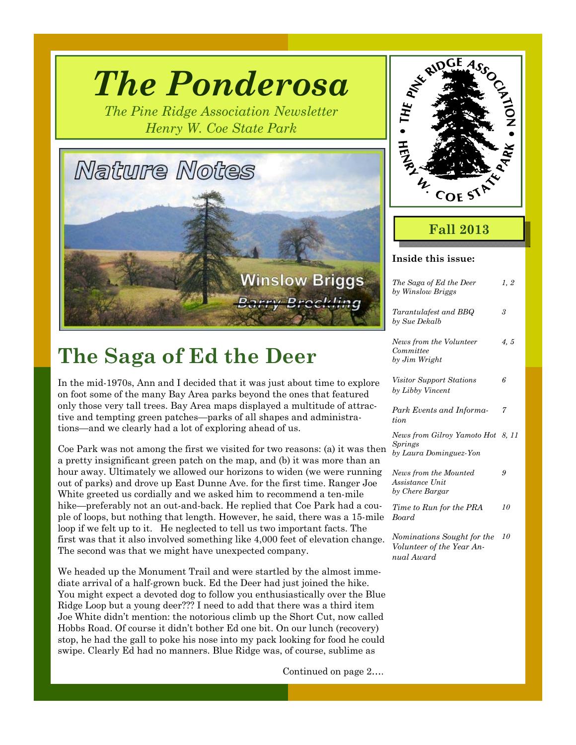# *The Ponderosa*

*The Pine Ridge Association Newsletter Henry W. Coe State Park* 



### **The Saga of Ed the Deer**

In the mid-1970s, Ann and I decided that it was just about time to explore on foot some of the many Bay Area parks beyond the ones that featured only those very tall trees. Bay Area maps displayed a multitude of attractive and tempting green patches—parks of all shapes and administrations—and we clearly had a lot of exploring ahead of us.

Coe Park was not among the first we visited for two reasons: (a) it was then a pretty insignificant green patch on the map, and (b) it was more than an hour away. Ultimately we allowed our horizons to widen (we were running out of parks) and drove up East Dunne Ave. for the first time. Ranger Joe White greeted us cordially and we asked him to recommend a ten-mile hike—preferably not an out-and-back. He replied that Coe Park had a couple of loops, but nothing that length. However, he said, there was a 15-mile loop if we felt up to it. He neglected to tell us two important facts. The first was that it also involved something like 4,000 feet of elevation change. The second was that we might have unexpected company.

We headed up the Monument Trail and were startled by the almost immediate arrival of a half-grown buck. Ed the Deer had just joined the hike. You might expect a devoted dog to follow you enthusiastically over the Blue Ridge Loop but a young deer??? I need to add that there was a third item Joe White didn't mention: the notorious climb up the Short Cut, now called Hobbs Road. Of course it didn't bother Ed one bit. On our lunch (recovery) stop, he had the gall to poke his nose into my pack looking for food he could swipe. Clearly Ed had no manners. Blue Ridge was, of course, sublime as

Continued on page 2….



### **Fall 2013**

| Inside this issue:                                                            |      |
|-------------------------------------------------------------------------------|------|
| The Saga of Ed the Deer<br>by Winslow Briggs                                  | 1, 2 |
| Tarantulafest and BBQ<br>by Sue Dekalb                                        | 3    |
| News from the Volunteer<br>Committee<br>by Jim Wright                         | 4, 5 |
| <i>Visitor Support Stations</i><br>by Libby Vincent                           | 6    |
| Park Events and Informa-<br>tion                                              | 7    |
| News from Gilroy Yamoto Hot 8, 11<br><i>Springs</i><br>by Laura Dominguez-Yon |      |
| News from the Mounted<br>Assistance Unit<br>by Chere Bargar                   | 9    |
| Time to Run for the PRA<br><b>Board</b>                                       | 10   |
| Nominations Sought for the<br>Volunteer of the Year An-<br>nual Award         | 10   |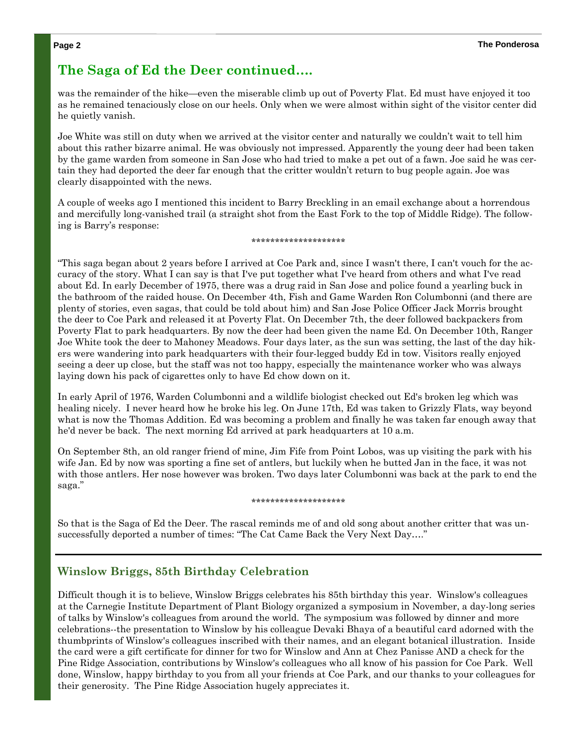#### **The Saga of Ed the Deer continued….**

was the remainder of the hike—even the miserable climb up out of Poverty Flat. Ed must have enjoyed it too as he remained tenaciously close on our heels. Only when we were almost within sight of the visitor center did he quietly vanish.

Joe White was still on duty when we arrived at the visitor center and naturally we couldn't wait to tell him about this rather bizarre animal. He was obviously not impressed. Apparently the young deer had been taken by the game warden from someone in San Jose who had tried to make a pet out of a fawn. Joe said he was certain they had deported the deer far enough that the critter wouldn't return to bug people again. Joe was clearly disappointed with the news.

A couple of weeks ago I mentioned this incident to Barry Breckling in an email exchange about a horrendous and mercifully long-vanished trail (a straight shot from the East Fork to the top of Middle Ridge). The following is Barry's response:

#### \*\*\*\*\*\*\*\*\*\*\*\*\*\*\*\*\*\*\*\*

"This saga began about 2 years before I arrived at Coe Park and, since I wasn't there, I can't vouch for the accuracy of the story. What I can say is that I've put together what I've heard from others and what I've read about Ed. In early December of 1975, there was a drug raid in San Jose and police found a yearling buck in the bathroom of the raided house. On December 4th, Fish and Game Warden Ron Columbonni (and there are plenty of stories, even sagas, that could be told about him) and San Jose Police Officer Jack Morris brought the deer to Coe Park and released it at Poverty Flat. On December 7th, the deer followed backpackers from Poverty Flat to park headquarters. By now the deer had been given the name Ed. On December 10th, Ranger Joe White took the deer to Mahoney Meadows. Four days later, as the sun was setting, the last of the day hikers were wandering into park headquarters with their four-legged buddy Ed in tow. Visitors really enjoyed seeing a deer up close, but the staff was not too happy, especially the maintenance worker who was always laying down his pack of cigarettes only to have Ed chow down on it.

In early April of 1976, Warden Columbonni and a wildlife biologist checked out Ed's broken leg which was healing nicely. I never heard how he broke his leg. On June 17th, Ed was taken to Grizzly Flats, way beyond what is now the Thomas Addition. Ed was becoming a problem and finally he was taken far enough away that he'd never be back. The next morning Ed arrived at park headquarters at 10 a.m.

On September 8th, an old ranger friend of mine, Jim Fife from Point Lobos, was up visiting the park with his wife Jan. Ed by now was sporting a fine set of antlers, but luckily when he butted Jan in the face, it was not with those antlers. Her nose however was broken. Two days later Columbonni was back at the park to end the saga."

#### \*\*\*\*\*\*\*\*\*\*\*\*\*\*\*\*\*\*\*\*

So that is the Saga of Ed the Deer. The rascal reminds me of and old song about another critter that was unsuccessfully deported a number of times: "The Cat Came Back the Very Next Day…."

#### **Winslow Briggs, 85th Birthday Celebration**

Difficult though it is to believe, Winslow Briggs celebrates his 85th birthday this year. Winslow's colleagues at the Carnegie Institute Department of Plant Biology organized a symposium in November, a day-long series of talks by Winslow's colleagues from around the world. The symposium was followed by dinner and more celebrations--the presentation to Winslow by his colleague Devaki Bhaya of a beautiful card adorned with the thumbprints of Winslow's colleagues inscribed with their names, and an elegant botanical illustration. Inside the card were a gift certificate for dinner for two for Winslow and Ann at Chez Panisse AND a check for the Pine Ridge Association, contributions by Winslow's colleagues who all know of his passion for Coe Park. Well done, Winslow, happy birthday to you from all your friends at Coe Park, and our thanks to your colleagues for their generosity. The Pine Ridge Association hugely appreciates it.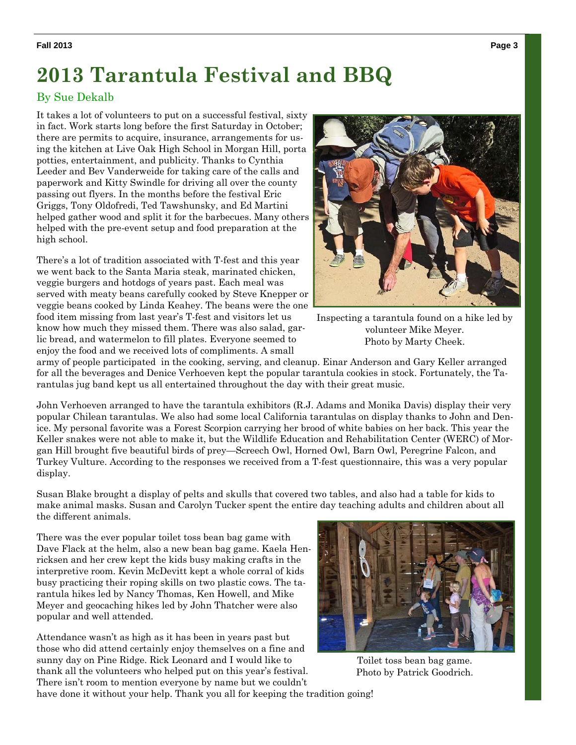#### **Fall 2013 Page 3**

### **2013 Tarantula Festival and BBQ**

#### By Sue Dekalb

It takes a lot of volunteers to put on a successful festival, sixty in fact. Work starts long before the first Saturday in October; there are permits to acquire, insurance, arrangements for using the kitchen at Live Oak High School in Morgan Hill, porta potties, entertainment, and publicity. Thanks to Cynthia Leeder and Bev Vanderweide for taking care of the calls and paperwork and Kitty Swindle for driving all over the county passing out flyers. In the months before the festival Eric Griggs, Tony Oldofredi, Ted Tawshunsky, and Ed Martini helped gather wood and split it for the barbecues. Many others helped with the pre-event setup and food preparation at the high school.

There's a lot of tradition associated with T-fest and this year we went back to the Santa Maria steak, marinated chicken, veggie burgers and hotdogs of years past. Each meal was served with meaty beans carefully cooked by Steve Knepper or veggie beans cooked by Linda Keahey. The beans were the one food item missing from last year's T-fest and visitors let us know how much they missed them. There was also salad, garlic bread, and watermelon to fill plates. Everyone seemed to enjoy the food and we received lots of compliments. A small



Inspecting a tarantula found on a hike led by volunteer Mike Meyer. Photo by Marty Cheek.

army of people participated in the cooking, serving, and cleanup. Einar Anderson and Gary Keller arranged for all the beverages and Denice Verhoeven kept the popular tarantula cookies in stock. Fortunately, the Tarantulas jug band kept us all entertained throughout the day with their great music.

John Verhoeven arranged to have the tarantula exhibitors (R.J. Adams and Monika Davis) display their very popular Chilean tarantulas. We also had some local California tarantulas on display thanks to John and Denice. My personal favorite was a Forest Scorpion carrying her brood of white babies on her back. This year the Keller snakes were not able to make it, but the Wildlife Education and Rehabilitation Center (WERC) of Morgan Hill brought five beautiful birds of prey—Screech Owl, Horned Owl, Barn Owl, Peregrine Falcon, and Turkey Vulture. According to the responses we received from a T-fest questionnaire, this was a very popular display.

Susan Blake brought a display of pelts and skulls that covered two tables, and also had a table for kids to make animal masks. Susan and Carolyn Tucker spent the entire day teaching adults and children about all the different animals.

There was the ever popular toilet toss bean bag game with Dave Flack at the helm, also a new bean bag game. Kaela Henricksen and her crew kept the kids busy making crafts in the interpretive room. Kevin McDevitt kept a whole corral of kids busy practicing their roping skills on two plastic cows. The tarantula hikes led by Nancy Thomas, Ken Howell, and Mike Meyer and geocaching hikes led by John Thatcher were also popular and well attended.

Attendance wasn't as high as it has been in years past but those who did attend certainly enjoy themselves on a fine and sunny day on Pine Ridge. Rick Leonard and I would like to thank all the volunteers who helped put on this year's festival. There isn't room to mention everyone by name but we couldn't

Toilet toss bean bag game. Photo by Patrick Goodrich.

have done it without your help. Thank you all for keeping the tradition going!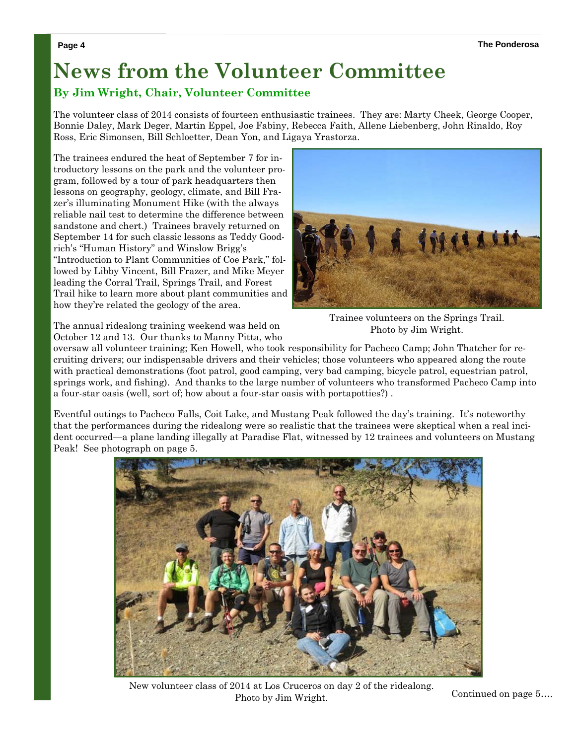### **News from the Volunteer Committee**

#### **By Jim Wright, Chair, Volunteer Committee**

The volunteer class of 2014 consists of fourteen enthusiastic trainees. They are: Marty Cheek, George Cooper, Bonnie Daley, Mark Deger, Martin Eppel, Joe Fabiny, Rebecca Faith, Allene Liebenberg, John Rinaldo, Roy Ross, Eric Simonsen, Bill Schloetter, Dean Yon, and Ligaya Yrastorza.

The trainees endured the heat of September 7 for introductory lessons on the park and the volunteer program, followed by a tour of park headquarters then lessons on geography, geology, climate, and Bill Frazer's illuminating Monument Hike (with the always reliable nail test to determine the difference between sandstone and chert.) Trainees bravely returned on September 14 for such classic lessons as Teddy Goodrich's "Human History" and Winslow Brigg's "Introduction to Plant Communities of Coe Park," followed by Libby Vincent, Bill Frazer, and Mike Meyer leading the Corral Trail, Springs Trail, and Forest Trail hike to learn more about plant communities and how they're related the geology of the area.



Trainee volunteers on the Springs Trail. Photo by Jim Wright.

The annual ridealong training weekend was held on October 12 and 13. Our thanks to Manny Pitta, who

oversaw all volunteer training; Ken Howell, who took responsibility for Pacheco Camp; John Thatcher for recruiting drivers; our indispensable drivers and their vehicles; those volunteers who appeared along the route with practical demonstrations (foot patrol, good camping, very bad camping, bicycle patrol, equestrian patrol, springs work, and fishing). And thanks to the large number of volunteers who transformed Pacheco Camp into a four-star oasis (well, sort of; how about a four-star oasis with portapotties?) .

Eventful outings to Pacheco Falls, Coit Lake, and Mustang Peak followed the day's training. It's noteworthy that the performances during the ridealong were so realistic that the trainees were skeptical when a real incident occurred—a plane landing illegally at Paradise Flat, witnessed by 12 trainees and volunteers on Mustang Peak! See photograph on page 5.



New volunteer class of 2014 at Los Cruceros on day 2 of the ridealong. Photo by Jim Wright.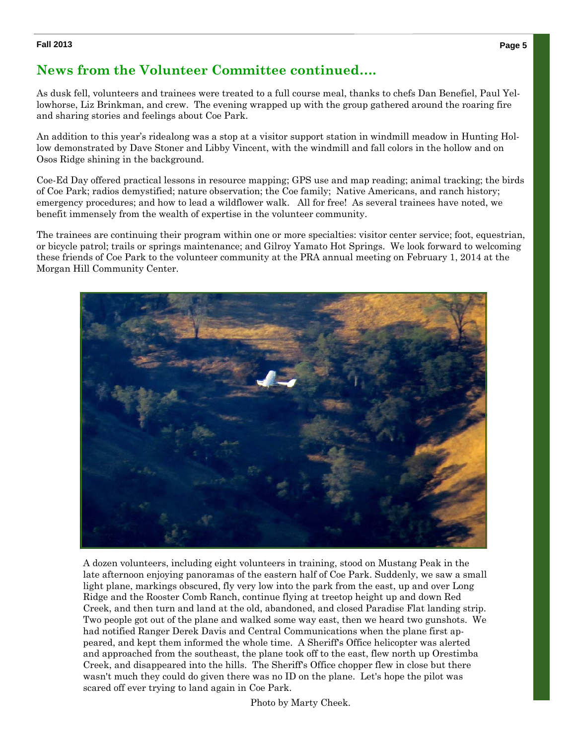#### **Fall 2013 Page 5**

#### **News from the Volunteer Committee continued….**

As dusk fell, volunteers and trainees were treated to a full course meal, thanks to chefs Dan Benefiel, Paul Yellowhorse, Liz Brinkman, and crew. The evening wrapped up with the group gathered around the roaring fire and sharing stories and feelings about Coe Park.

An addition to this year's ridealong was a stop at a visitor support station in windmill meadow in Hunting Hollow demonstrated by Dave Stoner and Libby Vincent, with the windmill and fall colors in the hollow and on Osos Ridge shining in the background.

Coe-Ed Day offered practical lessons in resource mapping; GPS use and map reading; animal tracking; the birds of Coe Park; radios demystified; nature observation; the Coe family; Native Americans, and ranch history; emergency procedures; and how to lead a wildflower walk. All for free! As several trainees have noted, we benefit immensely from the wealth of expertise in the volunteer community.

The trainees are continuing their program within one or more specialties: visitor center service; foot, equestrian, or bicycle patrol; trails or springs maintenance; and Gilroy Yamato Hot Springs. We look forward to welcoming these friends of Coe Park to the volunteer community at the PRA annual meeting on February 1, 2014 at the Morgan Hill Community Center.



A dozen volunteers, including eight volunteers in training, stood on Mustang Peak in the late afternoon enjoying panoramas of the eastern half of Coe Park. Suddenly, we saw a small light plane, markings obscured, fly very low into the park from the east, up and over Long Ridge and the Rooster Comb Ranch, continue flying at treetop height up and down Red Creek, and then turn and land at the old, abandoned, and closed Paradise Flat landing strip. Two people got out of the plane and walked some way east, then we heard two gunshots. We had notified Ranger Derek Davis and Central Communications when the plane first appeared, and kept them informed the whole time. A Sheriff's Office helicopter was alerted and approached from the southeast, the plane took off to the east, flew north up Orestimba Creek, and disappeared into the hills. The Sheriff's Office chopper flew in close but there wasn't much they could do given there was no ID on the plane. Let's hope the pilot was scared off ever trying to land again in Coe Park.

Photo by Marty Cheek.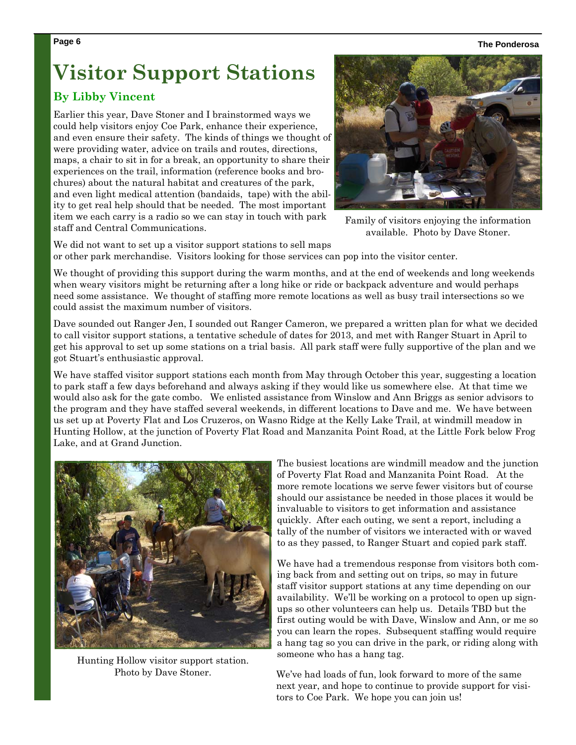**Page 6 The Ponderosa** 

## **Visitor Support Stations**

#### **By Libby Vincent**

Earlier this year, Dave Stoner and I brainstormed ways we could help visitors enjoy Coe Park, enhance their experience, and even ensure their safety. The kinds of things we thought of were providing water, advice on trails and routes, directions, maps, a chair to sit in for a break, an opportunity to share their experiences on the trail, information (reference books and brochures) about the natural habitat and creatures of the park, and even light medical attention (bandaids, tape) with the ability to get real help should that be needed. The most important item we each carry is a radio so we can stay in touch with park staff and Central Communications.



Family of visitors enjoying the information available. Photo by Dave Stoner.

We did not want to set up a visitor support stations to sell maps or other park merchandise. Visitors looking for those services can pop into the visitor center.

We thought of providing this support during the warm months, and at the end of weekends and long weekends when weary visitors might be returning after a long hike or ride or backpack adventure and would perhaps need some assistance. We thought of staffing more remote locations as well as busy trail intersections so we could assist the maximum number of visitors.

Dave sounded out Ranger Jen, I sounded out Ranger Cameron, we prepared a written plan for what we decided to call visitor support stations, a tentative schedule of dates for 2013, and met with Ranger Stuart in April to get his approval to set up some stations on a trial basis. All park staff were fully supportive of the plan and we got Stuart's enthusiastic approval.

We have staffed visitor support stations each month from May through October this year, suggesting a location to park staff a few days beforehand and always asking if they would like us somewhere else. At that time we would also ask for the gate combo. We enlisted assistance from Winslow and Ann Briggs as senior advisors to the program and they have staffed several weekends, in different locations to Dave and me. We have between us set up at Poverty Flat and Los Cruzeros, on Wasno Ridge at the Kelly Lake Trail, at windmill meadow in Hunting Hollow, at the junction of Poverty Flat Road and Manzanita Point Road, at the Little Fork below Frog Lake, and at Grand Junction.



Hunting Hollow visitor support station. Photo by Dave Stoner.

The busiest locations are windmill meadow and the junction of Poverty Flat Road and Manzanita Point Road. At the more remote locations we serve fewer visitors but of course should our assistance be needed in those places it would be invaluable to visitors to get information and assistance quickly. After each outing, we sent a report, including a tally of the number of visitors we interacted with or waved to as they passed, to Ranger Stuart and copied park staff.

We have had a tremendous response from visitors both coming back from and setting out on trips, so may in future staff visitor support stations at any time depending on our availability. We'll be working on a protocol to open up signups so other volunteers can help us. Details TBD but the first outing would be with Dave, Winslow and Ann, or me so you can learn the ropes. Subsequent staffing would require a hang tag so you can drive in the park, or riding along with someone who has a hang tag.

We've had loads of fun, look forward to more of the same next year, and hope to continue to provide support for visitors to Coe Park. We hope you can join us!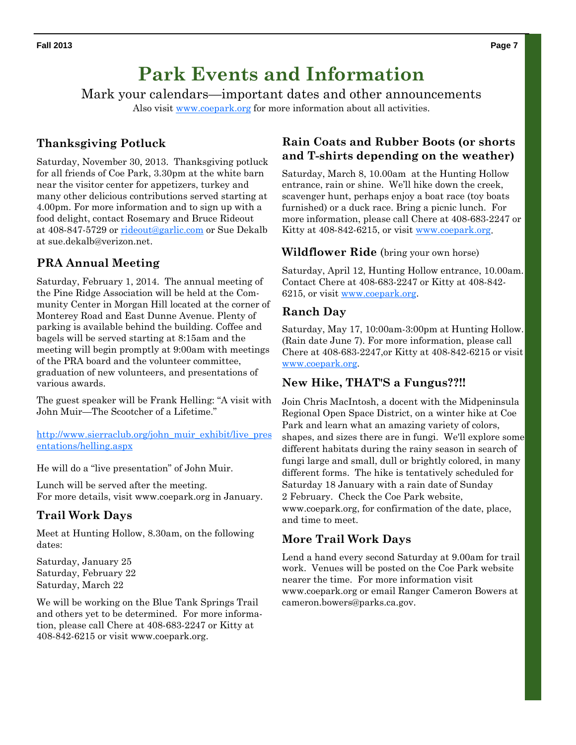### **Park Events and Information**

Mark your calendars—important dates and other announcements Also visit www.coepark.org for more information about all activities.

#### **Thanksgiving Potluck**

Saturday, November 30, 2013. Thanksgiving potluck for all friends of Coe Park, 3.30pm at the white barn near the visitor center for appetizers, turkey and many other delicious contributions served starting at 4.00pm. For more information and to sign up with a food delight, contact Rosemary and Bruce Rideout at 408-847-5729 or rideout@garlic.com or Sue Dekalb at sue.dekalb@verizon.net.

#### **PRA Annual Meeting**

Saturday, February 1, 2014. The annual meeting of the Pine Ridge Association will be held at the Community Center in Morgan Hill located at the corner of Monterey Road and East Dunne Avenue. Plenty of parking is available behind the building. Coffee and bagels will be served starting at 8:15am and the meeting will begin promptly at 9:00am with meetings of the PRA board and the volunteer committee, graduation of new volunteers, and presentations of various awards.

The guest speaker will be Frank Helling: "A visit with John Muir—The Scootcher of a Lifetime."

http://www.sierraclub.org/john\_muir\_exhibit/live\_pres entations/helling.aspx

He will do a "live presentation" of John Muir.

Lunch will be served after the meeting. For more details, visit www.coepark.org in January.

#### **Trail Work Days**

Meet at Hunting Hollow, 8.30am, on the following dates:

Saturday, January 25 Saturday, February 22 Saturday, March 22

We will be working on the Blue Tank Springs Trail and others yet to be determined. For more information, please call Chere at 408-683-2247 or Kitty at 408-842-6215 or visit www.coepark.org.

#### **Rain Coats and Rubber Boots (or shorts and T-shirts depending on the weather)**

Saturday, March 8, 10.00am at the Hunting Hollow entrance, rain or shine. We'll hike down the creek, scavenger hunt, perhaps enjoy a boat race (toy boats furnished) or a duck race. Bring a picnic lunch. For more information, please call Chere at 408-683-2247 or Kitty at 408-842-6215, or visit www.coepark.org.

#### **Wildflower Ride** (bring your own horse)

Saturday, April 12, Hunting Hollow entrance, 10.00am. Contact Chere at 408-683-2247 or Kitty at 408-842- 6215, or visit www.coepark.org.

#### **Ranch Day**

Saturday, May 17, 10:00am-3:00pm at Hunting Hollow. (Rain date June 7). For more information, please call Chere at 408-683-2247,or Kitty at 408-842-6215 or visit www.coepark.org.

#### **New Hike, THAT'S a Fungus??!!**

Join Chris MacIntosh, a docent with the Midpeninsula Regional Open Space District, on a winter hike at Coe Park and learn what an amazing variety of colors, shapes, and sizes there are in fungi. We'll explore some different habitats during the rainy season in search of fungi large and small, dull or brightly colored, in many different forms. The hike is tentatively scheduled for Saturday 18 January with a rain date of Sunday 2 February. Check the Coe Park website, www.coepark.org, for confirmation of the date, place, and time to meet.

#### **More Trail Work Days**

Lend a hand every second Saturday at 9.00am for trail work. Venues will be posted on the Coe Park website nearer the time. For more information visit www.coepark.org or email Ranger Cameron Bowers at cameron.bowers@parks.ca.gov.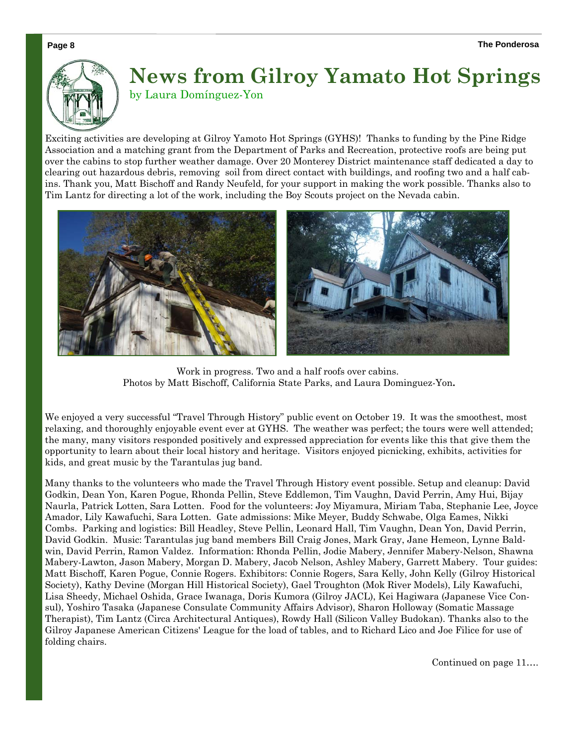

### **News from Gilroy Yamato Hot Springs**  by Laura Domínguez-Yon

Exciting activities are developing at Gilroy Yamoto Hot Springs (GYHS)! Thanks to funding by the Pine Ridge Association and a matching grant from the Department of Parks and Recreation, protective roofs are being put over the cabins to stop further weather damage. Over 20 Monterey District maintenance staff dedicated a day to clearing out hazardous debris, removing soil from direct contact with buildings, and roofing two and a half cabins. Thank you, Matt Bischoff and Randy Neufeld, for your support in making the work possible. Thanks also to Tim Lantz for directing a lot of the work, including the Boy Scouts project on the Nevada cabin.



Work in progress. Two and a half roofs over cabins. Photos by Matt Bischoff, California State Parks, and Laura Dominguez-Yon**.** 

We enjoyed a very successful "Travel Through History" public event on October 19. It was the smoothest, most relaxing, and thoroughly enjoyable event ever at GYHS. The weather was perfect; the tours were well attended; the many, many visitors responded positively and expressed appreciation for events like this that give them the opportunity to learn about their local history and heritage. Visitors enjoyed picnicking, exhibits, activities for kids, and great music by the Tarantulas jug band.

Many thanks to the volunteers who made the Travel Through History event possible. Setup and cleanup: David Godkin, Dean Yon, Karen Pogue, Rhonda Pellin, Steve Eddlemon, Tim Vaughn, David Perrin, Amy Hui, Bijay Naurla, Patrick Lotten, Sara Lotten. Food for the volunteers: Joy Miyamura, Miriam Taba, Stephanie Lee, Joyce Amador, Lily Kawafuchi, Sara Lotten. Gate admissions: Mike Meyer, Buddy Schwabe, Olga Eames, Nikki Combs. Parking and logistics: Bill Headley, Steve Pellin, Leonard Hall, Tim Vaughn, Dean Yon, David Perrin, David Godkin. Music: Tarantulas jug band members Bill Craig Jones, Mark Gray, Jane Hemeon, Lynne Baldwin, David Perrin, Ramon Valdez. Information: Rhonda Pellin, Jodie Mabery, Jennifer Mabery-Nelson, Shawna Mabery-Lawton, Jason Mabery, Morgan D. Mabery, Jacob Nelson, Ashley Mabery, Garrett Mabery. Tour guides: Matt Bischoff, Karen Pogue, Connie Rogers. Exhibitors: Connie Rogers, Sara Kelly, John Kelly (Gilroy Historical Society), Kathy Devine (Morgan Hill Historical Society), Gael Troughton (Mok River Models), Lily Kawafuchi, Lisa Sheedy, Michael Oshida, Grace Iwanaga, Doris Kumora (Gilroy JACL), Kei Hagiwara (Japanese Vice Consul), Yoshiro Tasaka (Japanese Consulate Community Affairs Advisor), Sharon Holloway (Somatic Massage Therapist), Tim Lantz (Circa Architectural Antiques), Rowdy Hall (Silicon Valley Budokan). Thanks also to the Gilroy Japanese American Citizens' League for the load of tables, and to Richard Lico and Joe Filice for use of folding chairs.

Continued on page 11….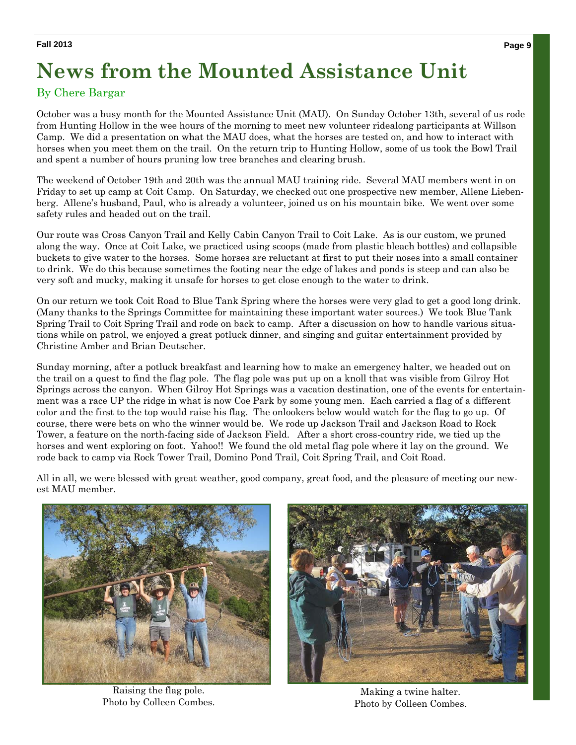## **News from the Mounted Assistance Unit**

#### By Chere Bargar

October was a busy month for the Mounted Assistance Unit (MAU). On Sunday October 13th, several of us rode from Hunting Hollow in the wee hours of the morning to meet new volunteer ridealong participants at Willson Camp. We did a presentation on what the MAU does, what the horses are tested on, and how to interact with horses when you meet them on the trail. On the return trip to Hunting Hollow, some of us took the Bowl Trail and spent a number of hours pruning low tree branches and clearing brush.

The weekend of October 19th and 20th was the annual MAU training ride. Several MAU members went in on Friday to set up camp at Coit Camp. On Saturday, we checked out one prospective new member, Allene Liebenberg. Allene's husband, Paul, who is already a volunteer, joined us on his mountain bike. We went over some safety rules and headed out on the trail.

Our route was Cross Canyon Trail and Kelly Cabin Canyon Trail to Coit Lake. As is our custom, we pruned along the way. Once at Coit Lake, we practiced using scoops (made from plastic bleach bottles) and collapsible buckets to give water to the horses. Some horses are reluctant at first to put their noses into a small container to drink. We do this because sometimes the footing near the edge of lakes and ponds is steep and can also be very soft and mucky, making it unsafe for horses to get close enough to the water to drink.

On our return we took Coit Road to Blue Tank Spring where the horses were very glad to get a good long drink. (Many thanks to the Springs Committee for maintaining these important water sources.) We took Blue Tank Spring Trail to Coit Spring Trail and rode on back to camp. After a discussion on how to handle various situations while on patrol, we enjoyed a great potluck dinner, and singing and guitar entertainment provided by Christine Amber and Brian Deutscher.

Sunday morning, after a potluck breakfast and learning how to make an emergency halter, we headed out on the trail on a quest to find the flag pole. The flag pole was put up on a knoll that was visible from Gilroy Hot Springs across the canyon. When Gilroy Hot Springs was a vacation destination, one of the events for entertainment was a race UP the ridge in what is now Coe Park by some young men. Each carried a flag of a different color and the first to the top would raise his flag. The onlookers below would watch for the flag to go up. Of course, there were bets on who the winner would be. We rode up Jackson Trail and Jackson Road to Rock Tower, a feature on the north-facing side of Jackson Field. After a short cross-country ride, we tied up the horses and went exploring on foot. Yahoo!! We found the old metal flag pole where it lay on the ground. We rode back to camp via Rock Tower Trail, Domino Pond Trail, Coit Spring Trail, and Coit Road.

All in all, we were blessed with great weather, good company, great food, and the pleasure of meeting our newest MAU member.



Raising the flag pole. Photo by Colleen Combes.



Making a twine halter. Photo by Colleen Combes.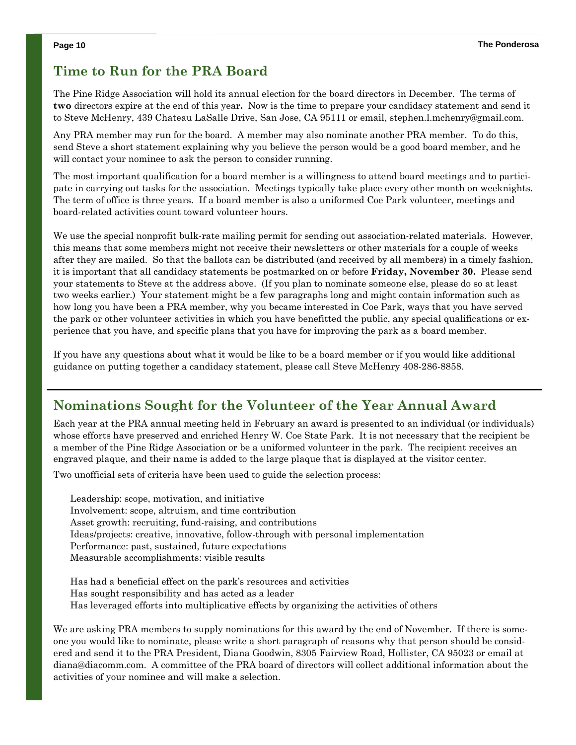#### **Time to Run for the PRA Board**

The Pine Ridge Association will hold its annual election for the board directors in December. The terms of **two** directors expire at the end of this year**.** Now is the time to prepare your candidacy statement and send it to Steve McHenry, 439 Chateau LaSalle Drive, San Jose, CA 95111 or email, stephen.l.mchenry@gmail.com.

Any PRA member may run for the board. A member may also nominate another PRA member. To do this, send Steve a short statement explaining why you believe the person would be a good board member, and he will contact your nominee to ask the person to consider running.

The most important qualification for a board member is a willingness to attend board meetings and to participate in carrying out tasks for the association. Meetings typically take place every other month on weeknights. The term of office is three years. If a board member is also a uniformed Coe Park volunteer, meetings and board-related activities count toward volunteer hours.

We use the special nonprofit bulk-rate mailing permit for sending out association-related materials. However, this means that some members might not receive their newsletters or other materials for a couple of weeks after they are mailed. So that the ballots can be distributed (and received by all members) in a timely fashion, it is important that all candidacy statements be postmarked on or before **Friday, November 30.** Please send your statements to Steve at the address above. (If you plan to nominate someone else, please do so at least two weeks earlier.) Your statement might be a few paragraphs long and might contain information such as how long you have been a PRA member, why you became interested in Coe Park, ways that you have served the park or other volunteer activities in which you have benefitted the public, any special qualifications or experience that you have, and specific plans that you have for improving the park as a board member.

If you have any questions about what it would be like to be a board member or if you would like additional guidance on putting together a candidacy statement, please call Steve McHenry 408-286-8858.

#### **Nominations Sought for the Volunteer of the Year Annual Award**

Each year at the PRA annual meeting held in February an award is presented to an individual (or individuals) whose efforts have preserved and enriched Henry W. Coe State Park. It is not necessary that the recipient be a member of the Pine Ridge Association or be a uniformed volunteer in the park. The recipient receives an engraved plaque, and their name is added to the large plaque that is displayed at the visitor center.

Two unofficial sets of criteria have been used to guide the selection process:

Leadership: scope, motivation, and initiative Involvement: scope, altruism, and time contribution Asset growth: recruiting, fund-raising, and contributions Ideas/projects: creative, innovative, follow-through with personal implementation Performance: past, sustained, future expectations Measurable accomplishments: visible results

Has had a beneficial effect on the park's resources and activities Has sought responsibility and has acted as a leader Has leveraged efforts into multiplicative effects by organizing the activities of others

We are asking PRA members to supply nominations for this award by the end of November. If there is someone you would like to nominate, please write a short paragraph of reasons why that person should be considered and send it to the PRA President, Diana Goodwin, 8305 Fairview Road, Hollister, CA 95023 or email at diana@diacomm.com. A committee of the PRA board of directors will collect additional information about the activities of your nominee and will make a selection.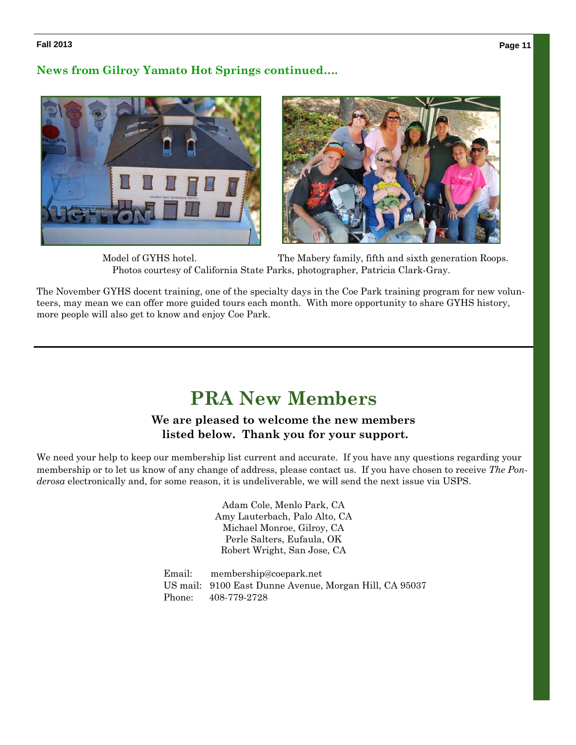#### **Volume 1 Page 11 Fall 2013 , Issue 1**

#### **News from Gilroy Yamato Hot Springs continued….**





 Model of GYHS hotel. The Mabery family, fifth and sixth generation Roops. Photos courtesy of California State Parks, photographer, Patricia Clark-Gray.

The November GYHS docent training, one of the specialty days in the Coe Park training program for new volunteers, may mean we can offer more guided tours each month. With more opportunity to share GYHS history, more people will also get to know and enjoy Coe Park.

### **PRA New Members**

#### **We are pleased to welcome the new members listed below. Thank you for your support.**

We need your help to keep our membership list current and accurate. If you have any questions regarding your membership or to let us know of any change of address, please contact us. If you have chosen to receive *The Ponderosa* electronically and, for some reason, it is undeliverable, we will send the next issue via USPS.

> Adam Cole, Menlo Park, CA Amy Lauterbach, Palo Alto, CA Michael Monroe, Gilroy, CA Perle Salters, Eufaula, OK Robert Wright, San Jose, CA

Email: membership@coepark.net US mail: 9100 East Dunne Avenue, Morgan Hill, CA 95037 Phone: 408-779-2728